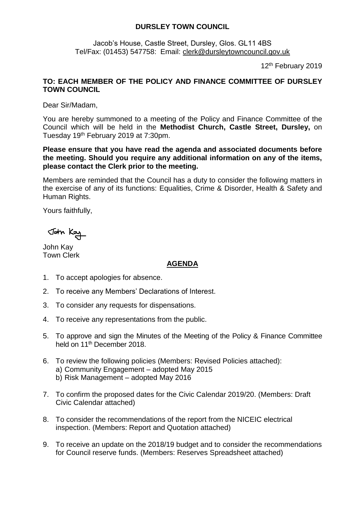## **DURSLEY TOWN COUNCIL**

Jacob's House, Castle Street, Dursley, Glos. GL11 4BS Tel/Fax: (01453) 547758: Email: [clerk@dursleytowncouncil.gov.uk](mailto:clerk@dursleytowncouncil.gov.uk)

12<sup>th</sup> February 2019

## **TO: EACH MEMBER OF THE POLICY AND FINANCE COMMITTEE OF DURSLEY TOWN COUNCIL**

Dear Sir/Madam,

You are hereby summoned to a meeting of the Policy and Finance Committee of the Council which will be held in the **Methodist Church, Castle Street, Dursley,** on Tuesday 19 th February 2019 at 7:30pm.

**Please ensure that you have read the agenda and associated documents before the meeting. Should you require any additional information on any of the items, please contact the Clerk prior to the meeting.** 

Members are reminded that the Council has a duty to consider the following matters in the exercise of any of its functions: Equalities, Crime & Disorder, Health & Safety and Human Rights.

Yours faithfully,

John Kay

John Kay Town Clerk

## **AGENDA**

- 1. To accept apologies for absence.
- 2. To receive any Members' Declarations of Interest.
- 3. To consider any requests for dispensations.
- 4. To receive any representations from the public.
- 5. To approve and sign the Minutes of the Meeting of the Policy & Finance Committee held on 11<sup>th</sup> December 2018.
- 6. To review the following policies (Members: Revised Policies attached): a) Community Engagement – adopted May 2015 b) Risk Management – adopted May 2016
- 7. To confirm the proposed dates for the Civic Calendar 2019/20. (Members: Draft Civic Calendar attached)
- 8. To consider the recommendations of the report from the NICEIC electrical inspection. (Members: Report and Quotation attached)
- 9. To receive an update on the 2018/19 budget and to consider the recommendations for Council reserve funds. (Members: Reserves Spreadsheet attached)